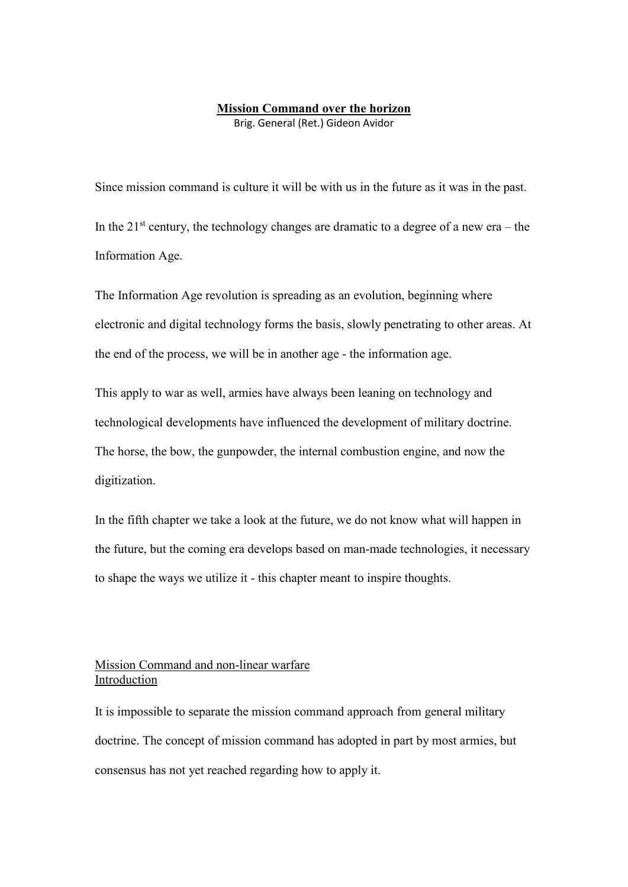# **Mission Command over the horizon**

Brig. General (Ret.) Gideon Avidor

Since mission command is culture it will be with us in the future as it was in the past. In the  $21<sup>st</sup>$  century, the technology changes are dramatic to a degree of a new era – the Information Age.

The Information Age revolution is spreading as an evolution, beginning where electronic and digital technology forms the basis, slowly penetrating to other areas. At the end of the process, we will be in another age - the information age.

This apply to war as well, armies have always been leaning on technology and technological developments have influenced the development of military doctrine. The horse, the bow, the gunpowder, the internal combustion engine, and now the digitization.

In the fifth chapter we take a look at the future, we do not know what will happen in the future, but the coming era develops based on man-made technologies, it necessary to shape the ways we utilize it - this chapter meant to inspire thoughts.

# Mission Command and non-linear warfare Introduction

It is impossible to separate the mission command approach from general military doctrine. The concept of mission command has adopted in part by most armies, but consensus has not yet reached regarding how to apply it.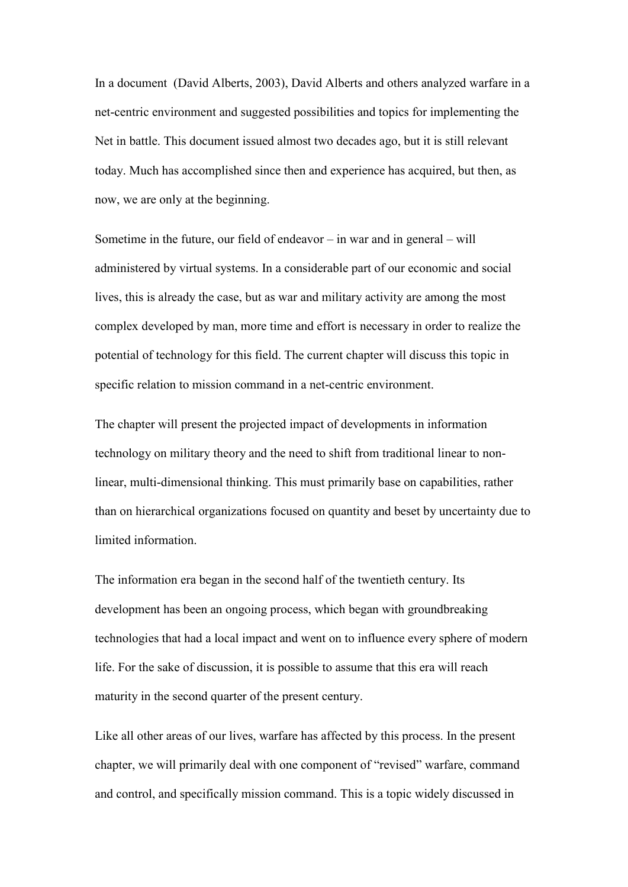In a document (David Alberts, 2003), David Alberts and others analyzed warfare in a net-centric environment and suggested possibilities and topics for implementing the Net in battle. This document issued almost two decades ago, but it is still relevant today. Much has accomplished since then and experience has acquired, but then, as now, we are only at the beginning.

Sometime in the future, our field of endeavor – in war and in general – will administered by virtual systems. In a considerable part of our economic and social lives, this is already the case, but as war and military activity are among the most complex developed by man, more time and effort is necessary in order to realize the potential of technology for this field. The current chapter will discuss this topic in specific relation to mission command in a net-centric environment.

The chapter will present the projected impact of developments in information technology on military theory and the need to shift from traditional linear to nonlinear, multi-dimensional thinking. This must primarily base on capabilities, rather than on hierarchical organizations focused on quantity and beset by uncertainty due to limited information.

The information era began in the second half of the twentieth century. Its development has been an ongoing process, which began with groundbreaking technologies that had a local impact and went on to influence every sphere of modern life. For the sake of discussion, it is possible to assume that this era will reach maturity in the second quarter of the present century.

Like all other areas of our lives, warfare has affected by this process. In the present chapter, we will primarily deal with one component of "revised" warfare, command and control, and specifically mission command. This is a topic widely discussed in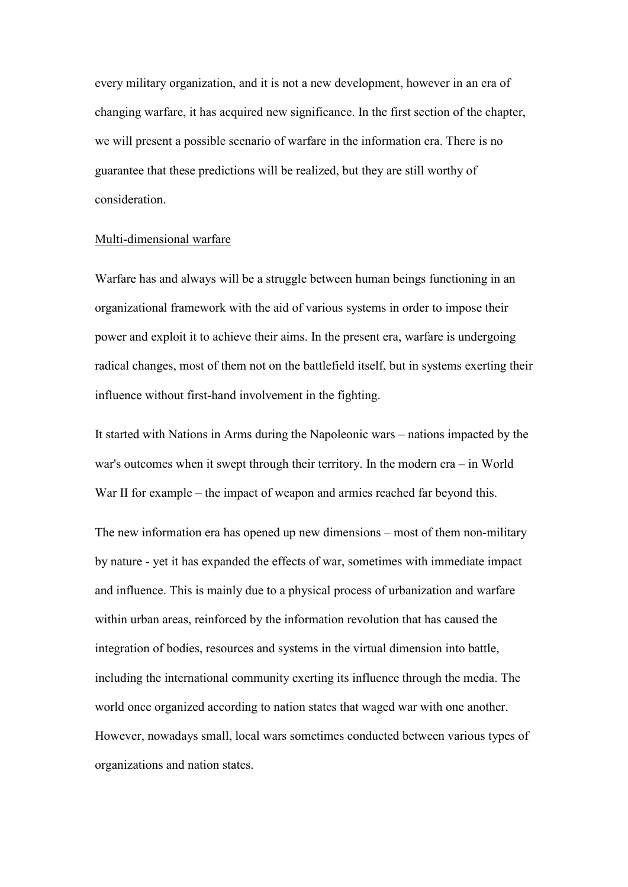every military organization, and it is not a new development, however in an era of changing warfare, it has acquired new significance. In the first section of the chapter, we will present a possible scenario of warfare in the information era. There is no guarantee that these predictions will be realized, but they are still worthy of consideration.

#### Multi-dimensional warfare

Warfare has and always will be a struggle between human beings functioning in an organizational framework with the aid of various systems in order to impose their power and exploit it to achieve their aims. In the present era, warfare is undergoing radical changes, most of them not on the battlefield itself, but in systems exerting their influence without first-hand involvement in the fighting.

It started with Nations in Arms during the Napoleonic wars – nations impacted by the war's outcomes when it swept through their territory. In the modern era – in World War II for example – the impact of weapon and armies reached far beyond this.

The new information era has opened up new dimensions – most of them non-military by nature - yet it has expanded the effects of war, sometimes with immediate impact and influence. This is mainly due to a physical process of urbanization and warfare within urban areas, reinforced by the information revolution that has caused the integration of bodies, resources and systems in the virtual dimension into battle, including the international community exerting its influence through the media. The world once organized according to nation states that waged war with one another. However, nowadays small, local wars sometimes conducted between various types of organizations and nation states.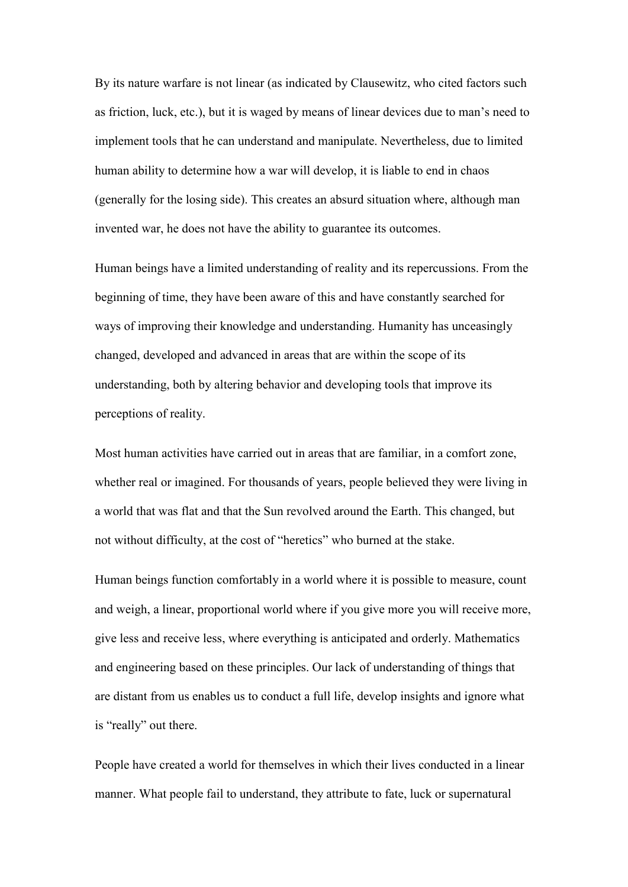By its nature warfare is not linear (as indicated by Clausewitz, who cited factors such as friction, luck, etc.), but it is waged by means of linear devices due to man's need to implement tools that he can understand and manipulate. Nevertheless, due to limited human ability to determine how a war will develop, it is liable to end in chaos (generally for the losing side). This creates an absurd situation where, although man invented war, he does not have the ability to guarantee its outcomes.

Human beings have a limited understanding of reality and its repercussions. From the beginning of time, they have been aware of this and have constantly searched for ways of improving their knowledge and understanding. Humanity has unceasingly changed, developed and advanced in areas that are within the scope of its understanding, both by altering behavior and developing tools that improve its perceptions of reality.

Most human activities have carried out in areas that are familiar, in a comfort zone, whether real or imagined. For thousands of years, people believed they were living in a world that was flat and that the Sun revolved around the Earth. This changed, but not without difficulty, at the cost of "heretics" who burned at the stake.

Human beings function comfortably in a world where it is possible to measure, count and weigh, a linear, proportional world where if you give more you will receive more, give less and receive less, where everything is anticipated and orderly. Mathematics and engineering based on these principles. Our lack of understanding of things that are distant from us enables us to conduct a full life, develop insights and ignore what is "really" out there.

People have created a world for themselves in which their lives conducted in a linear manner. What people fail to understand, they attribute to fate, luck or supernatural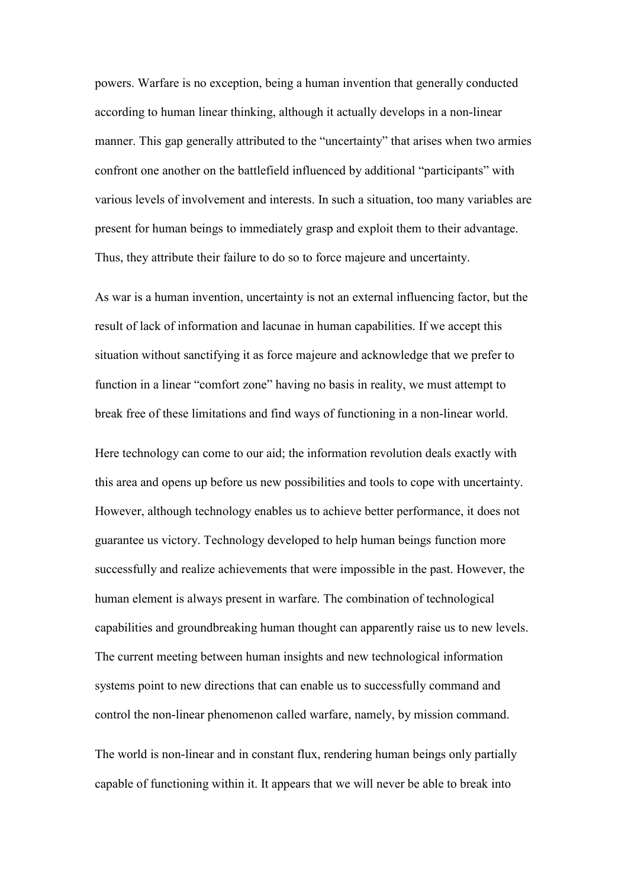powers. Warfare is no exception, being a human invention that generally conducted according to human linear thinking, although it actually develops in a non-linear manner. This gap generally attributed to the "uncertainty" that arises when two armies confront one another on the battlefield influenced by additional "participants" with various levels of involvement and interests. In such a situation, too many variables are present for human beings to immediately grasp and exploit them to their advantage. Thus, they attribute their failure to do so to force majeure and uncertainty.

As war is a human invention, uncertainty is not an external influencing factor, but the result of lack of information and lacunae in human capabilities. If we accept this situation without sanctifying it as force majeure and acknowledge that we prefer to function in a linear "comfort zone" having no basis in reality, we must attempt to break free of these limitations and find ways of functioning in a non-linear world.

Here technology can come to our aid; the information revolution deals exactly with this area and opens up before us new possibilities and tools to cope with uncertainty. However, although technology enables us to achieve better performance, it does not guarantee us victory. Technology developed to help human beings function more successfully and realize achievements that were impossible in the past. However, the human element is always present in warfare. The combination of technological capabilities and groundbreaking human thought can apparently raise us to new levels. The current meeting between human insights and new technological information systems point to new directions that can enable us to successfully command and control the non-linear phenomenon called warfare, namely, by mission command.

The world is non-linear and in constant flux, rendering human beings only partially capable of functioning within it. It appears that we will never be able to break into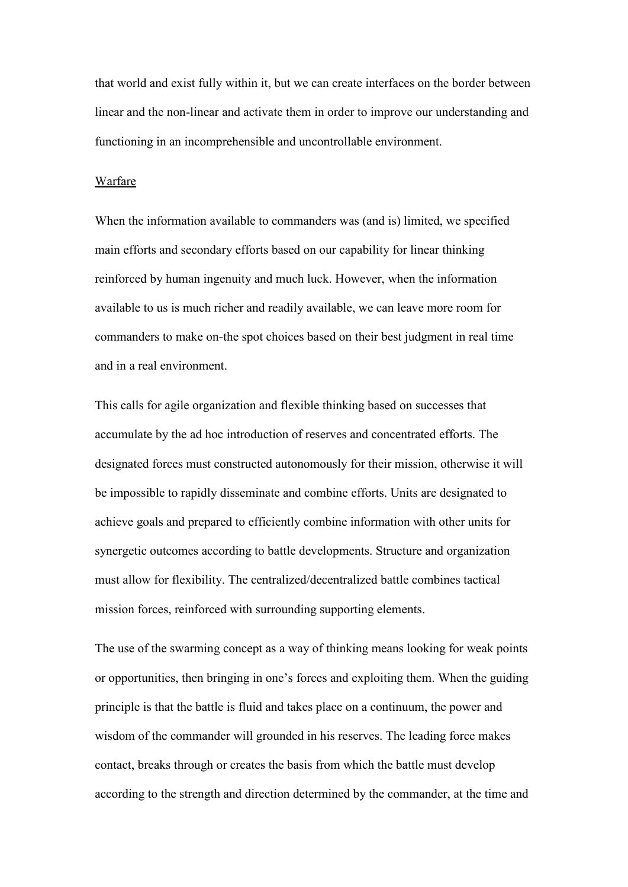that world and exist fully within it, but we can create interfaces on the border between linear and the non-linear and activate them in order to improve our understanding and functioning in an incomprehensible and uncontrollable environment.

#### Warfare

When the information available to commanders was (and is) limited, we specified main efforts and secondary efforts based on our capability for linear thinking reinforced by human ingenuity and much luck. However, when the information available to us is much richer and readily available, we can leave more room for commanders to make on-the spot choices based on their best judgment in real time and in a real environment.

This calls for agile organization and flexible thinking based on successes that accumulate by the ad hoc introduction of reserves and concentrated efforts. The designated forces must constructed autonomously for their mission, otherwise it will be impossible to rapidly disseminate and combine efforts. Units are designated to achieve goals and prepared to efficiently combine information with other units for synergetic outcomes according to battle developments. Structure and organization must allow for flexibility. The centralized/decentralized battle combines tactical mission forces, reinforced with surrounding supporting elements.

The use of the swarming concept as a way of thinking means looking for weak points or opportunities, then bringing in one's forces and exploiting them. When the guiding principle is that the battle is fluid and takes place on a continuum, the power and wisdom of the commander will grounded in his reserves. The leading force makes contact, breaks through or creates the basis from which the battle must develop according to the strength and direction determined by the commander, at the time and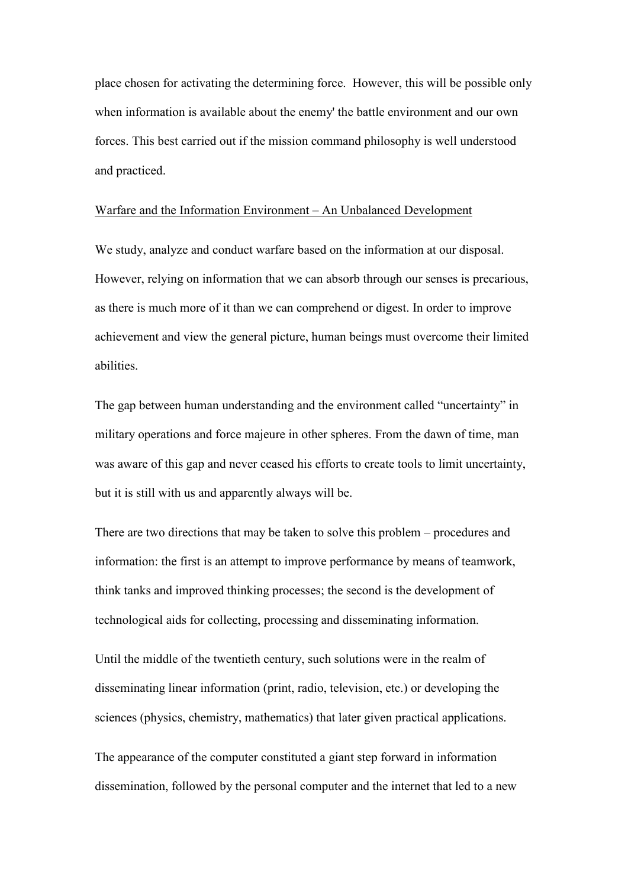place chosen for activating the determining force. However, this will be possible only when information is available about the enemy' the battle environment and our own forces. This best carried out if the mission command philosophy is well understood and practiced.

### Warfare and the Information Environment – An Unbalanced Development

We study, analyze and conduct warfare based on the information at our disposal. However, relying on information that we can absorb through our senses is precarious, as there is much more of it than we can comprehend or digest. In order to improve achievement and view the general picture, human beings must overcome their limited abilities.

The gap between human understanding and the environment called "uncertainty" in military operations and force majeure in other spheres. From the dawn of time, man was aware of this gap and never ceased his efforts to create tools to limit uncertainty, but it is still with us and apparently always will be.

There are two directions that may be taken to solve this problem – procedures and information: the first is an attempt to improve performance by means of teamwork, think tanks and improved thinking processes; the second is the development of technological aids for collecting, processing and disseminating information.

Until the middle of the twentieth century, such solutions were in the realm of disseminating linear information (print, radio, television, etc.) or developing the sciences (physics, chemistry, mathematics) that later given practical applications.

The appearance of the computer constituted a giant step forward in information dissemination, followed by the personal computer and the internet that led to a new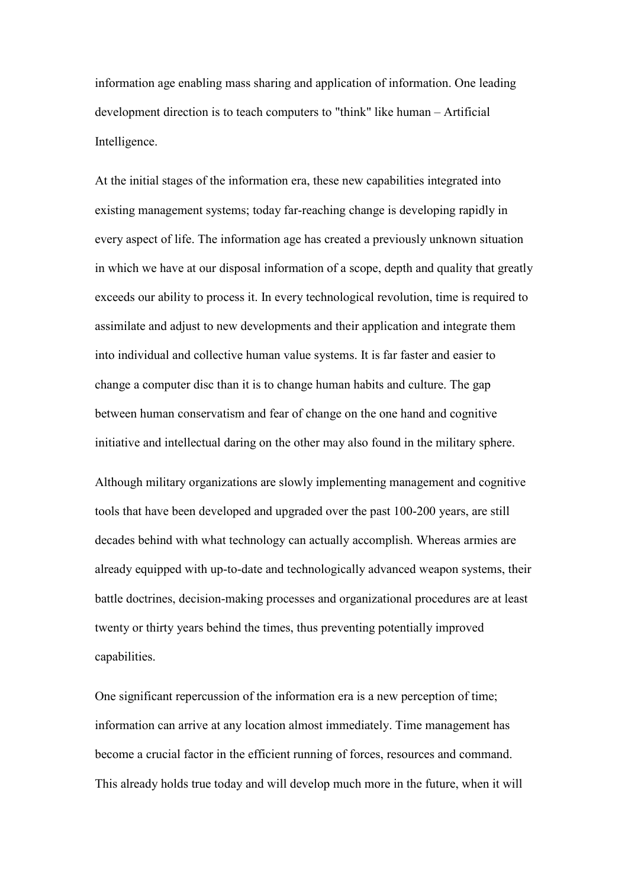information age enabling mass sharing and application of information. One leading development direction is to teach computers to "think" like human – Artificial Intelligence.

At the initial stages of the information era, these new capabilities integrated into existing management systems; today far-reaching change is developing rapidly in every aspect of life. The information age has created a previously unknown situation in which we have at our disposal information of a scope, depth and quality that greatly exceeds our ability to process it. In every technological revolution, time is required to assimilate and adjust to new developments and their application and integrate them into individual and collective human value systems. It is far faster and easier to change a computer disc than it is to change human habits and culture. The gap between human conservatism and fear of change on the one hand and cognitive initiative and intellectual daring on the other may also found in the military sphere.

Although military organizations are slowly implementing management and cognitive tools that have been developed and upgraded over the past 100-200 years, are still decades behind with what technology can actually accomplish. Whereas armies are already equipped with up-to-date and technologically advanced weapon systems, their battle doctrines, decision-making processes and organizational procedures are at least twenty or thirty years behind the times, thus preventing potentially improved capabilities.

One significant repercussion of the information era is a new perception of time; information can arrive at any location almost immediately. Time management has become a crucial factor in the efficient running of forces, resources and command. This already holds true today and will develop much more in the future, when it will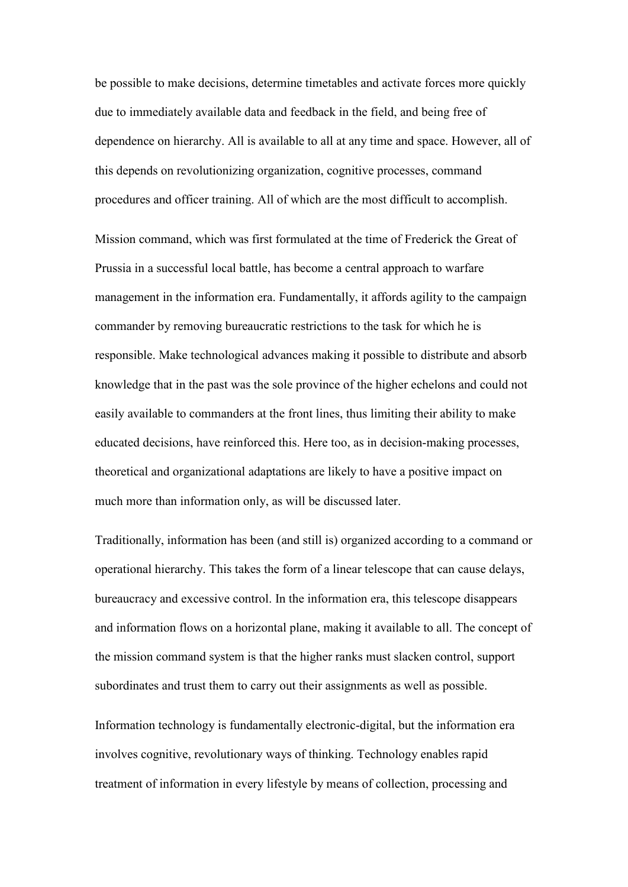be possible to make decisions, determine timetables and activate forces more quickly due to immediately available data and feedback in the field, and being free of dependence on hierarchy. All is available to all at any time and space. However, all of this depends on revolutionizing organization, cognitive processes, command procedures and officer training. All of which are the most difficult to accomplish.

Mission command, which was first formulated at the time of Frederick the Great of Prussia in a successful local battle, has become a central approach to warfare management in the information era. Fundamentally, it affords agility to the campaign commander by removing bureaucratic restrictions to the task for which he is responsible. Make technological advances making it possible to distribute and absorb knowledge that in the past was the sole province of the higher echelons and could not easily available to commanders at the front lines, thus limiting their ability to make educated decisions, have reinforced this. Here too, as in decision-making processes, theoretical and organizational adaptations are likely to have a positive impact on much more than information only, as will be discussed later.

Traditionally, information has been (and still is) organized according to a command or operational hierarchy. This takes the form of a linear telescope that can cause delays, bureaucracy and excessive control. In the information era, this telescope disappears and information flows on a horizontal plane, making it available to all. The concept of the mission command system is that the higher ranks must slacken control, support subordinates and trust them to carry out their assignments as well as possible.

Information technology is fundamentally electronic-digital, but the information era involves cognitive, revolutionary ways of thinking. Technology enables rapid treatment of information in every lifestyle by means of collection, processing and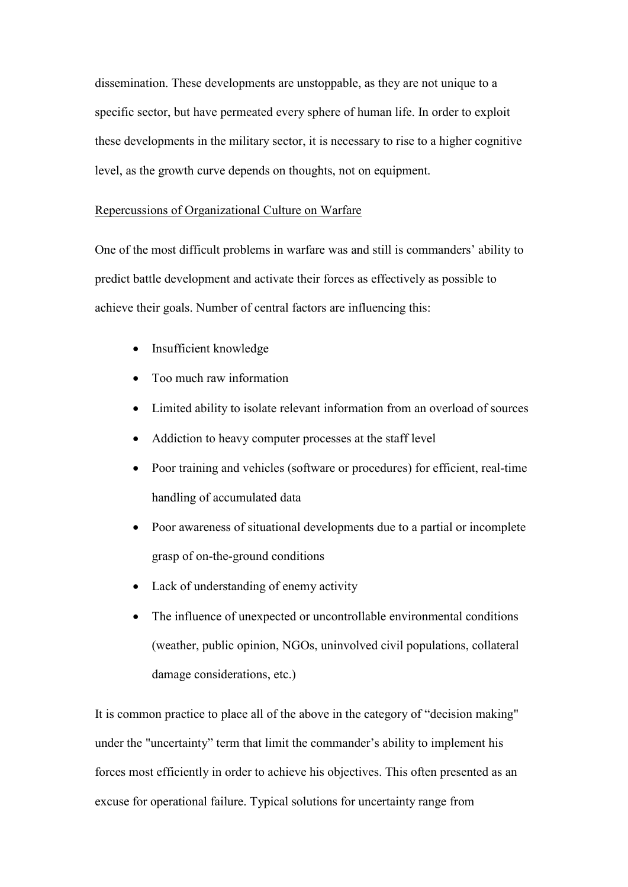dissemination. These developments are unstoppable, as they are not unique to a specific sector, but have permeated every sphere of human life. In order to exploit these developments in the military sector, it is necessary to rise to a higher cognitive level, as the growth curve depends on thoughts, not on equipment.

### Repercussions of Organizational Culture on Warfare

One of the most difficult problems in warfare was and still is commanders' ability to predict battle development and activate their forces as effectively as possible to achieve their goals. Number of central factors are influencing this:

- Insufficient knowledge
- Too much raw information
- Limited ability to isolate relevant information from an overload of sources
- Addiction to heavy computer processes at the staff level
- Poor training and vehicles (software or procedures) for efficient, real-time handling of accumulated data
- Poor awareness of situational developments due to a partial or incomplete grasp of on-the-ground conditions
- Lack of understanding of enemy activity
- The influence of unexpected or uncontrollable environmental conditions (weather, public opinion, NGOs, uninvolved civil populations, collateral damage considerations, etc.)

It is common practice to place all of the above in the category of "decision making" under the "uncertainty" term that limit the commander's ability to implement his forces most efficiently in order to achieve his objectives. This often presented as an excuse for operational failure. Typical solutions for uncertainty range from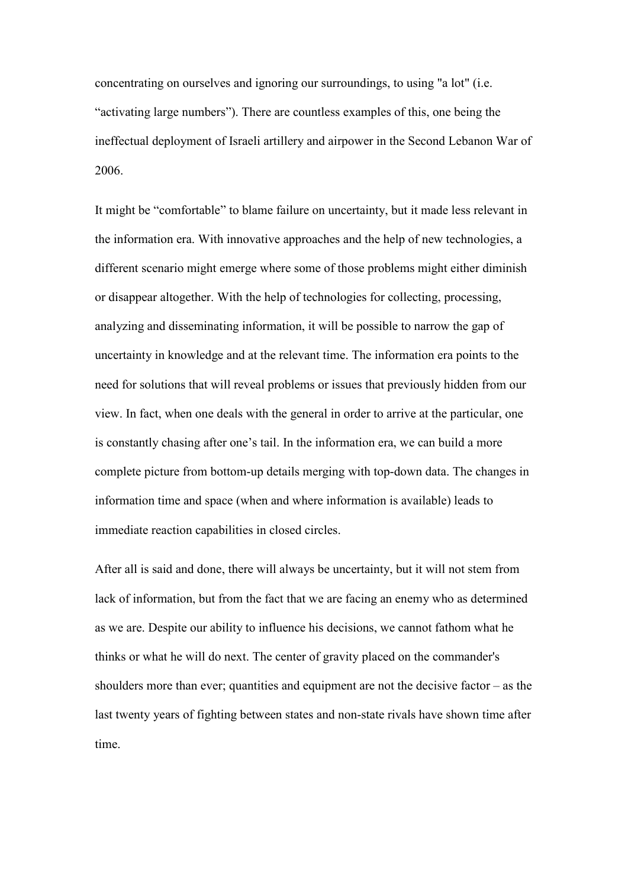concentrating on ourselves and ignoring our surroundings, to using "a lot" (i.e. "activating large numbers"). There are countless examples of this, one being the ineffectual deployment of Israeli artillery and airpower in the Second Lebanon War of 2006.

It might be "comfortable" to blame failure on uncertainty, but it made less relevant in the information era. With innovative approaches and the help of new technologies, a different scenario might emerge where some of those problems might either diminish or disappear altogether. With the help of technologies for collecting, processing, analyzing and disseminating information, it will be possible to narrow the gap of uncertainty in knowledge and at the relevant time. The information era points to the need for solutions that will reveal problems or issues that previously hidden from our view. In fact, when one deals with the general in order to arrive at the particular, one is constantly chasing after one's tail. In the information era, we can build a more complete picture from bottom-up details merging with top-down data. The changes in information time and space (when and where information is available) leads to immediate reaction capabilities in closed circles.

After all is said and done, there will always be uncertainty, but it will not stem from lack of information, but from the fact that we are facing an enemy who as determined as we are. Despite our ability to influence his decisions, we cannot fathom what he thinks or what he will do next. The center of gravity placed on the commander's shoulders more than ever; quantities and equipment are not the decisive factor  $-$  as the last twenty years of fighting between states and non-state rivals have shown time after time.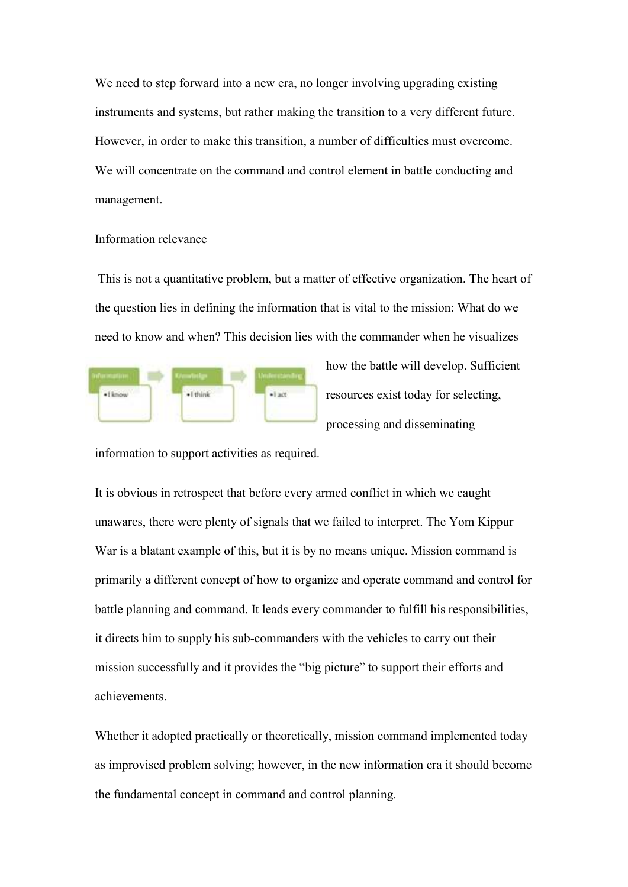We need to step forward into a new era, no longer involving upgrading existing instruments and systems, but rather making the transition to a very different future. However, in order to make this transition, a number of difficulties must overcome. We will concentrate on the command and control element in battle conducting and management.

### Information relevance

 This is not a quantitative problem, but a matter of effective organization. The heart of the question lies in defining the information that is vital to the mission: What do we need to know and when? This decision lies with the commander when he visualizes



how the battle will develop. Sufficient resources exist today for selecting, processing and disseminating

information to support activities as required.

It is obvious in retrospect that before every armed conflict in which we caught unawares, there were plenty of signals that we failed to interpret. The Yom Kippur War is a blatant example of this, but it is by no means unique. Mission command is primarily a different concept of how to organize and operate command and control for battle planning and command. It leads every commander to fulfill his responsibilities, it directs him to supply his sub-commanders with the vehicles to carry out their mission successfully and it provides the "big picture" to support their efforts and achievements.

Whether it adopted practically or theoretically, mission command implemented today as improvised problem solving; however, in the new information era it should become the fundamental concept in command and control planning.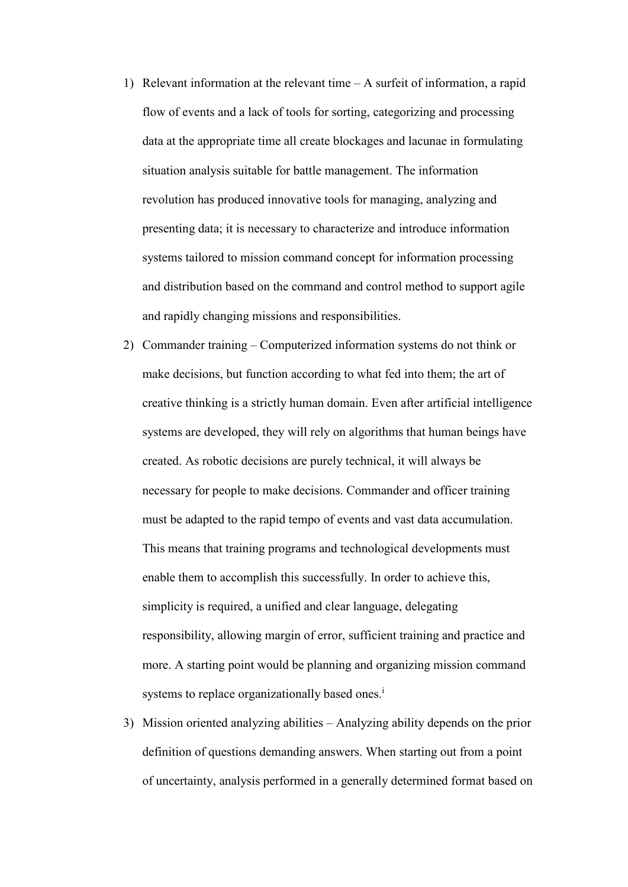- 1) Relevant information at the relevant time A surfeit of information, a rapid flow of events and a lack of tools for sorting, categorizing and processing data at the appropriate time all create blockages and lacunae in formulating situation analysis suitable for battle management. The information revolution has produced innovative tools for managing, analyzing and presenting data; it is necessary to characterize and introduce information systems tailored to mission command concept for information processing and distribution based on the command and control method to support agile and rapidly changing missions and responsibilities.
- 2) Commander training Computerized information systems do not think or make decisions, but function according to what fed into them; the art of creative thinking is a strictly human domain. Even after artificial intelligence systems are developed, they will rely on algorithms that human beings have created. As robotic decisions are purely technical, it will always be necessary for people to make decisions. Commander and officer training must be adapted to the rapid tempo of events and vast data accumulation. This means that training programs and technological developments must enable them to accomplish this successfully. In order to achieve this, simplicity is required, a unified and clear language, delegating responsibility, allowing margin of error, sufficient training and practice and more. A starting point would be planning and organizing mission command systems to replace organizationally based ones.<sup>i</sup>
- 3) Mission oriented analyzing abilities Analyzing ability depends on the prior definition of questions demanding answers. When starting out from a point of uncertainty, analysis performed in a generally determined format based on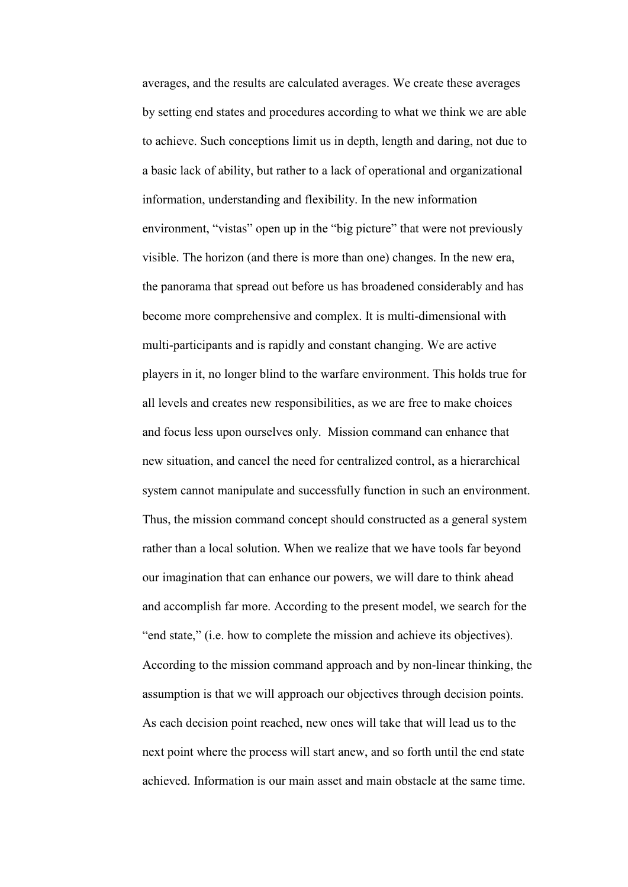averages, and the results are calculated averages. We create these averages by setting end states and procedures according to what we think we are able to achieve. Such conceptions limit us in depth, length and daring, not due to a basic lack of ability, but rather to a lack of operational and organizational information, understanding and flexibility. In the new information environment, "vistas" open up in the "big picture" that were not previously visible. The horizon (and there is more than one) changes. In the new era, the panorama that spread out before us has broadened considerably and has become more comprehensive and complex. It is multi-dimensional with multi-participants and is rapidly and constant changing. We are active players in it, no longer blind to the warfare environment. This holds true for all levels and creates new responsibilities, as we are free to make choices and focus less upon ourselves only. Mission command can enhance that new situation, and cancel the need for centralized control, as a hierarchical system cannot manipulate and successfully function in such an environment. Thus, the mission command concept should constructed as a general system rather than a local solution. When we realize that we have tools far beyond our imagination that can enhance our powers, we will dare to think ahead and accomplish far more. According to the present model, we search for the "end state," (i.e. how to complete the mission and achieve its objectives). According to the mission command approach and by non-linear thinking, the assumption is that we will approach our objectives through decision points. As each decision point reached, new ones will take that will lead us to the next point where the process will start anew, and so forth until the end state achieved. Information is our main asset and main obstacle at the same time.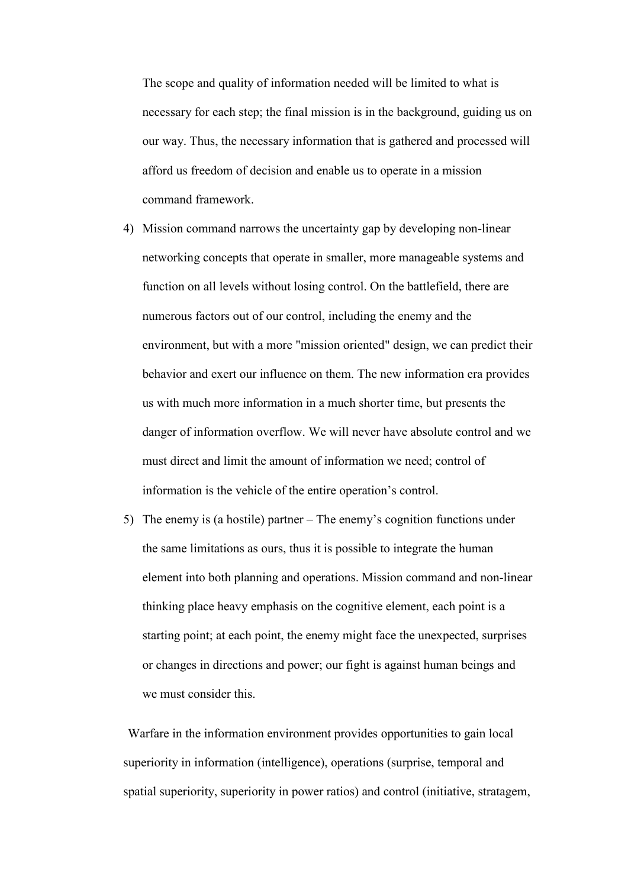The scope and quality of information needed will be limited to what is necessary for each step; the final mission is in the background, guiding us on our way. Thus, the necessary information that is gathered and processed will afford us freedom of decision and enable us to operate in a mission command framework.

- 4) Mission command narrows the uncertainty gap by developing non-linear networking concepts that operate in smaller, more manageable systems and function on all levels without losing control. On the battlefield, there are numerous factors out of our control, including the enemy and the environment, but with a more "mission oriented" design, we can predict their behavior and exert our influence on them. The new information era provides us with much more information in a much shorter time, but presents the danger of information overflow. We will never have absolute control and we must direct and limit the amount of information we need; control of information is the vehicle of the entire operation's control.
- 5) The enemy is (a hostile) partner The enemy's cognition functions under the same limitations as ours, thus it is possible to integrate the human element into both planning and operations. Mission command and non-linear thinking place heavy emphasis on the cognitive element, each point is a starting point; at each point, the enemy might face the unexpected, surprises or changes in directions and power; our fight is against human beings and we must consider this.

 Warfare in the information environment provides opportunities to gain local superiority in information (intelligence), operations (surprise, temporal and spatial superiority, superiority in power ratios) and control (initiative, stratagem,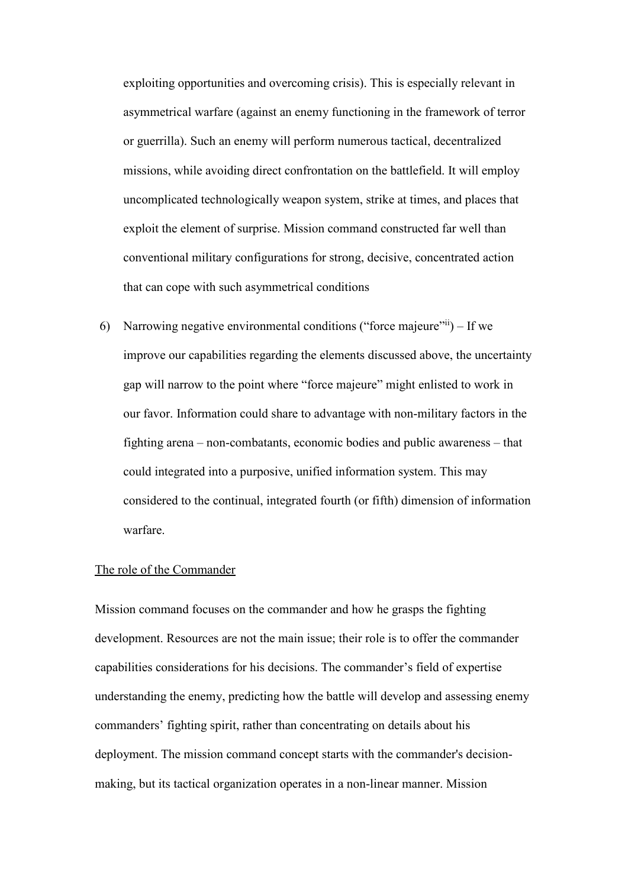exploiting opportunities and overcoming crisis). This is especially relevant in asymmetrical warfare (against an enemy functioning in the framework of terror or guerrilla). Such an enemy will perform numerous tactical, decentralized missions, while avoiding direct confrontation on the battlefield. It will employ uncomplicated technologically weapon system, strike at times, and places that exploit the element of surprise. Mission command constructed far well than conventional military configurations for strong, decisive, concentrated action that can cope with such asymmetrical conditions

6) Narrowing negative environmental conditions ("force majeure"  $\ddot{\text{m}}$ ) – If we improve our capabilities regarding the elements discussed above, the uncertainty gap will narrow to the point where "force majeure" might enlisted to work in our favor. Information could share to advantage with non-military factors in the fighting arena – non-combatants, economic bodies and public awareness – that could integrated into a purposive, unified information system. This may considered to the continual, integrated fourth (or fifth) dimension of information warfare.

## The role of the Commander

Mission command focuses on the commander and how he grasps the fighting development. Resources are not the main issue; their role is to offer the commander capabilities considerations for his decisions. The commander's field of expertise understanding the enemy, predicting how the battle will develop and assessing enemy commanders' fighting spirit, rather than concentrating on details about his deployment. The mission command concept starts with the commander's decisionmaking, but its tactical organization operates in a non-linear manner. Mission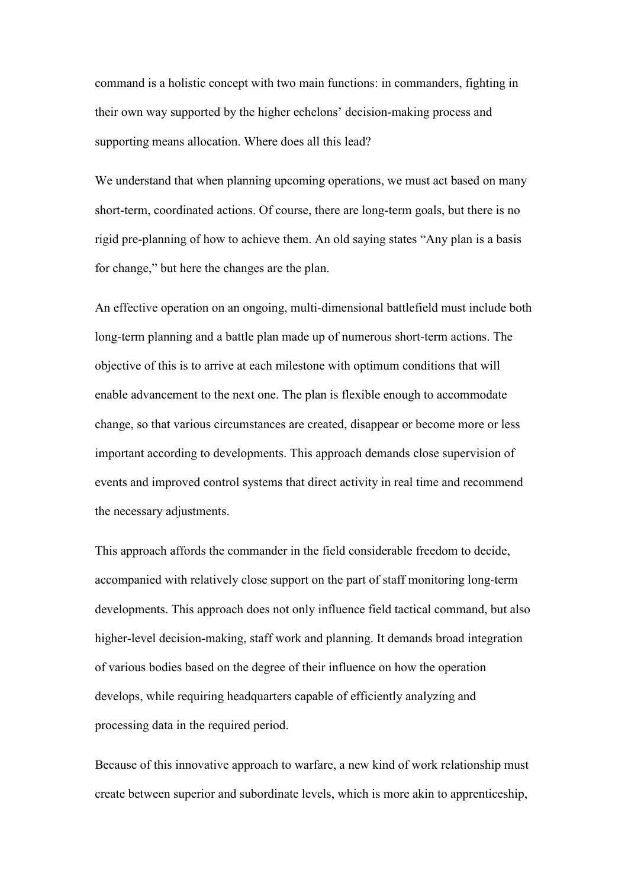command is a holistic concept with two main functions: in commanders, fighting in their own way supported by the higher echelons' decision-making process and supporting means allocation. Where does all this lead?

We understand that when planning upcoming operations, we must act based on many short-term, coordinated actions. Of course, there are long-term goals, but there is no rigid pre-planning of how to achieve them. An old saying states "Any plan is a basis for change," but here the changes are the plan.

An effective operation on an ongoing, multi-dimensional battlefield must include both long-term planning and a battle plan made up of numerous short-term actions. The objective of this is to arrive at each milestone with optimum conditions that will enable advancement to the next one. The plan is flexible enough to accommodate change, so that various circumstances are created, disappear or become more or less important according to developments. This approach demands close supervision of events and improved control systems that direct activity in real time and recommend the necessary adjustments.

This approach affords the commander in the field considerable freedom to decide, accompanied with relatively close support on the part of staff monitoring long-term developments. This approach does not only influence field tactical command, but also higher-level decision-making, staff work and planning. It demands broad integration of various bodies based on the degree of their influence on how the operation develops, while requiring headquarters capable of efficiently analyzing and processing data in the required period.

Because of this innovative approach to warfare, a new kind of work relationship must create between superior and subordinate levels, which is more akin to apprenticeship,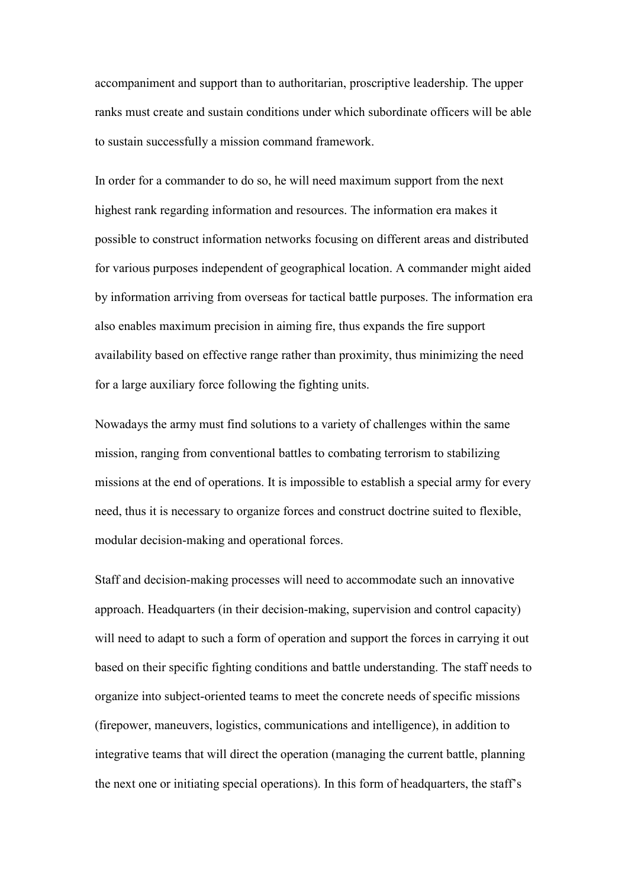accompaniment and support than to authoritarian, proscriptive leadership. The upper ranks must create and sustain conditions under which subordinate officers will be able to sustain successfully a mission command framework.

In order for a commander to do so, he will need maximum support from the next highest rank regarding information and resources. The information era makes it possible to construct information networks focusing on different areas and distributed for various purposes independent of geographical location. A commander might aided by information arriving from overseas for tactical battle purposes. The information era also enables maximum precision in aiming fire, thus expands the fire support availability based on effective range rather than proximity, thus minimizing the need for a large auxiliary force following the fighting units.

Nowadays the army must find solutions to a variety of challenges within the same mission, ranging from conventional battles to combating terrorism to stabilizing missions at the end of operations. It is impossible to establish a special army for every need, thus it is necessary to organize forces and construct doctrine suited to flexible, modular decision-making and operational forces.

Staff and decision-making processes will need to accommodate such an innovative approach. Headquarters (in their decision-making, supervision and control capacity) will need to adapt to such a form of operation and support the forces in carrying it out based on their specific fighting conditions and battle understanding. The staff needs to organize into subject-oriented teams to meet the concrete needs of specific missions (firepower, maneuvers, logistics, communications and intelligence), in addition to integrative teams that will direct the operation (managing the current battle, planning the next one or initiating special operations). In this form of headquarters, the staff's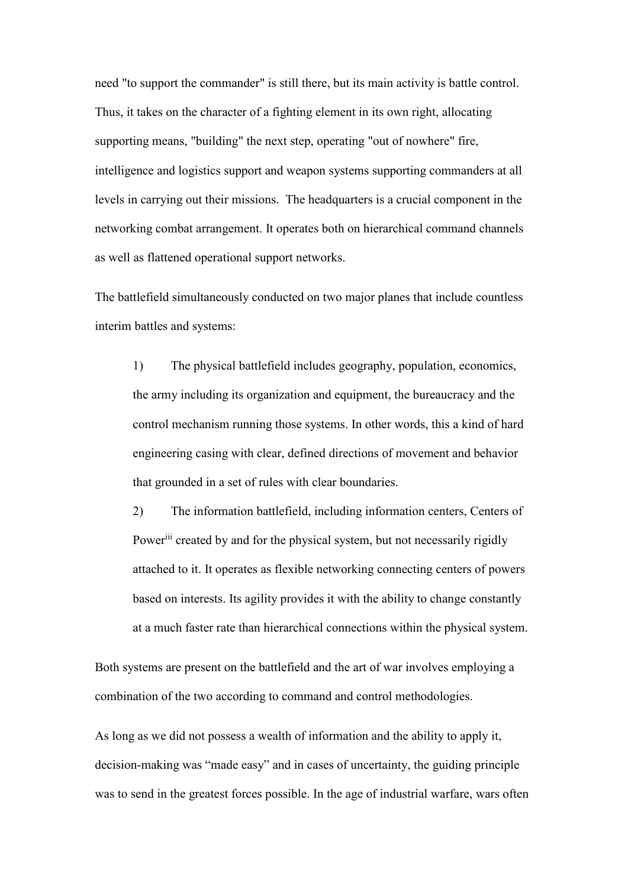need "to support the commander" is still there, but its main activity is battle control. Thus, it takes on the character of a fighting element in its own right, allocating supporting means, "building" the next step, operating "out of nowhere" fire, intelligence and logistics support and weapon systems supporting commanders at all levels in carrying out their missions. The headquarters is a crucial component in the networking combat arrangement. It operates both on hierarchical command channels as well as flattened operational support networks.

The battlefield simultaneously conducted on two major planes that include countless interim battles and systems:

1) The physical battlefield includes geography, population, economics, the army including its organization and equipment, the bureaucracy and the control mechanism running those systems. In other words, this a kind of hard engineering casing with clear, defined directions of movement and behavior that grounded in a set of rules with clear boundaries.

2) The information battlefield, including information centers, Centers of Power<sup>iii</sup> created by and for the physical system, but not necessarily rigidly attached to it. It operates as flexible networking connecting centers of powers based on interests. Its agility provides it with the ability to change constantly at a much faster rate than hierarchical connections within the physical system.

Both systems are present on the battlefield and the art of war involves employing a combination of the two according to command and control methodologies.

As long as we did not possess a wealth of information and the ability to apply it, decision-making was "made easy" and in cases of uncertainty, the guiding principle was to send in the greatest forces possible. In the age of industrial warfare, wars often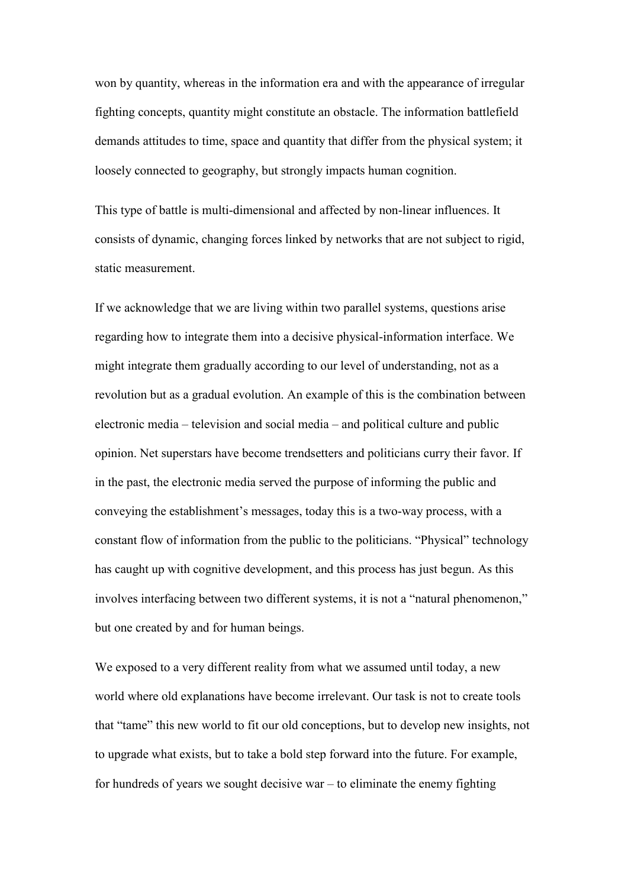won by quantity, whereas in the information era and with the appearance of irregular fighting concepts, quantity might constitute an obstacle. The information battlefield demands attitudes to time, space and quantity that differ from the physical system; it loosely connected to geography, but strongly impacts human cognition.

This type of battle is multi-dimensional and affected by non-linear influences. It consists of dynamic, changing forces linked by networks that are not subject to rigid, static measurement.

If we acknowledge that we are living within two parallel systems, questions arise regarding how to integrate them into a decisive physical-information interface. We might integrate them gradually according to our level of understanding, not as a revolution but as a gradual evolution. An example of this is the combination between electronic media – television and social media – and political culture and public opinion. Net superstars have become trendsetters and politicians curry their favor. If in the past, the electronic media served the purpose of informing the public and conveying the establishment's messages, today this is a two-way process, with a constant flow of information from the public to the politicians. "Physical" technology has caught up with cognitive development, and this process has just begun. As this involves interfacing between two different systems, it is not a "natural phenomenon," but one created by and for human beings.

We exposed to a very different reality from what we assumed until today, a new world where old explanations have become irrelevant. Our task is not to create tools that "tame" this new world to fit our old conceptions, but to develop new insights, not to upgrade what exists, but to take a bold step forward into the future. For example, for hundreds of years we sought decisive war  $-$  to eliminate the enemy fighting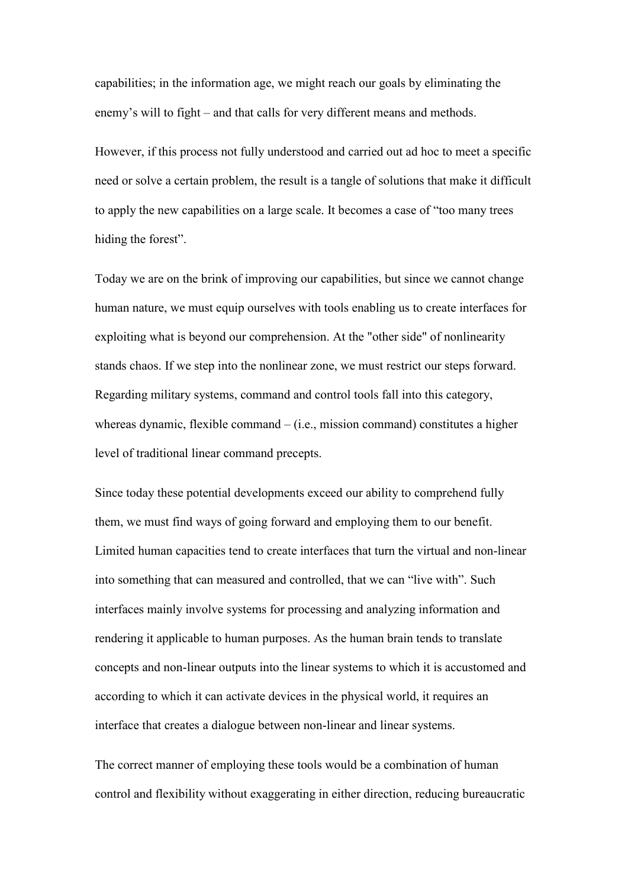capabilities; in the information age, we might reach our goals by eliminating the enemy's will to fight – and that calls for very different means and methods.

However, if this process not fully understood and carried out ad hoc to meet a specific need or solve a certain problem, the result is a tangle of solutions that make it difficult to apply the new capabilities on a large scale. It becomes a case of "too many trees hiding the forest".

Today we are on the brink of improving our capabilities, but since we cannot change human nature, we must equip ourselves with tools enabling us to create interfaces for exploiting what is beyond our comprehension. At the "other side" of nonlinearity stands chaos. If we step into the nonlinear zone, we must restrict our steps forward. Regarding military systems, command and control tools fall into this category, whereas dynamic, flexible command – (i.e., mission command) constitutes a higher level of traditional linear command precepts.

Since today these potential developments exceed our ability to comprehend fully them, we must find ways of going forward and employing them to our benefit. Limited human capacities tend to create interfaces that turn the virtual and non-linear into something that can measured and controlled, that we can "live with". Such interfaces mainly involve systems for processing and analyzing information and rendering it applicable to human purposes. As the human brain tends to translate concepts and non-linear outputs into the linear systems to which it is accustomed and according to which it can activate devices in the physical world, it requires an interface that creates a dialogue between non-linear and linear systems.

The correct manner of employing these tools would be a combination of human control and flexibility without exaggerating in either direction, reducing bureaucratic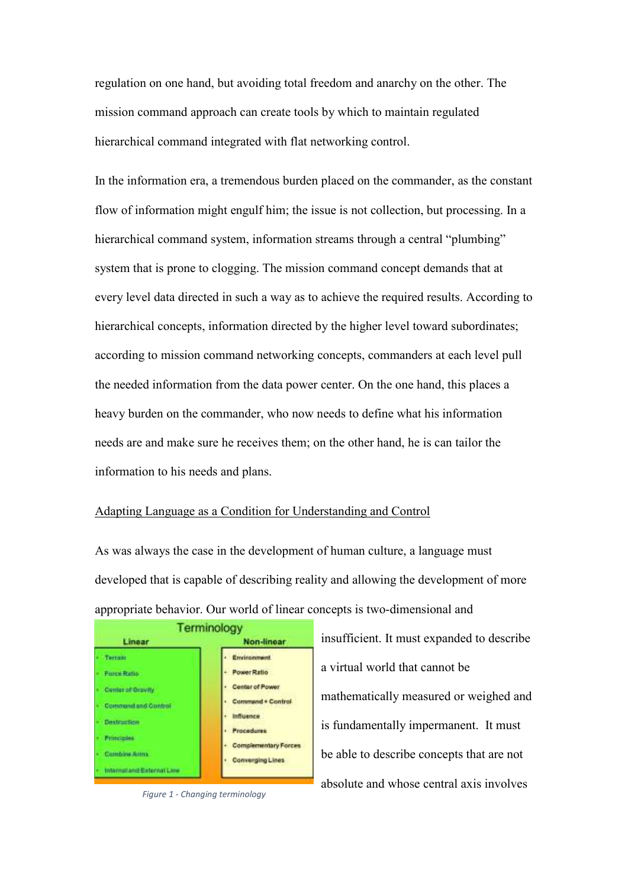regulation on one hand, but avoiding total freedom and anarchy on the other. The mission command approach can create tools by which to maintain regulated hierarchical command integrated with flat networking control.

In the information era, a tremendous burden placed on the commander, as the constant flow of information might engulf him; the issue is not collection, but processing. In a hierarchical command system, information streams through a central "plumbing" system that is prone to clogging. The mission command concept demands that at every level data directed in such a way as to achieve the required results. According to hierarchical concepts, information directed by the higher level toward subordinates; according to mission command networking concepts, commanders at each level pull the needed information from the data power center. On the one hand, this places a heavy burden on the commander, who now needs to define what his information needs are and make sure he receives them; on the other hand, he is can tailor the information to his needs and plans.

#### Adapting Language as a Condition for Understanding and Control

As was always the case in the development of human culture, a language must developed that is capable of describing reality and allowing the development of more appropriate behavior. Our world of linear concepts is two-dimensional and



*Figure 1 - Changing terminology*

insufficient. It must expanded to describe a virtual world that cannot be mathematically measured or weighed and is fundamentally impermanent. It must be able to describe concepts that are not absolute and whose central axis involves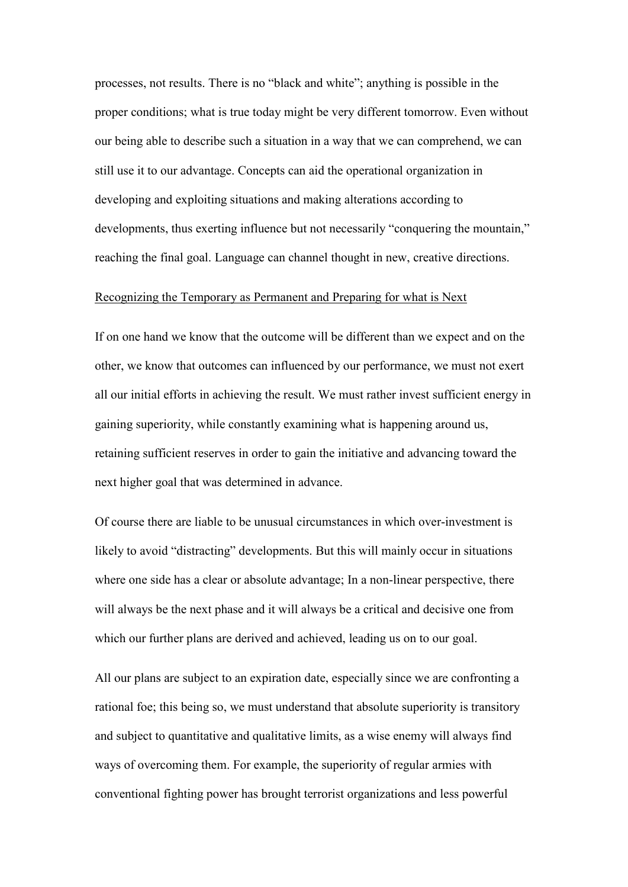processes, not results. There is no "black and white"; anything is possible in the proper conditions; what is true today might be very different tomorrow. Even without our being able to describe such a situation in a way that we can comprehend, we can still use it to our advantage. Concepts can aid the operational organization in developing and exploiting situations and making alterations according to developments, thus exerting influence but not necessarily "conquering the mountain," reaching the final goal. Language can channel thought in new, creative directions.

## Recognizing the Temporary as Permanent and Preparing for what is Next

If on one hand we know that the outcome will be different than we expect and on the other, we know that outcomes can influenced by our performance, we must not exert all our initial efforts in achieving the result. We must rather invest sufficient energy in gaining superiority, while constantly examining what is happening around us, retaining sufficient reserves in order to gain the initiative and advancing toward the next higher goal that was determined in advance.

Of course there are liable to be unusual circumstances in which over-investment is likely to avoid "distracting" developments. But this will mainly occur in situations where one side has a clear or absolute advantage; In a non-linear perspective, there will always be the next phase and it will always be a critical and decisive one from which our further plans are derived and achieved, leading us on to our goal.

All our plans are subject to an expiration date, especially since we are confronting a rational foe; this being so, we must understand that absolute superiority is transitory and subject to quantitative and qualitative limits, as a wise enemy will always find ways of overcoming them. For example, the superiority of regular armies with conventional fighting power has brought terrorist organizations and less powerful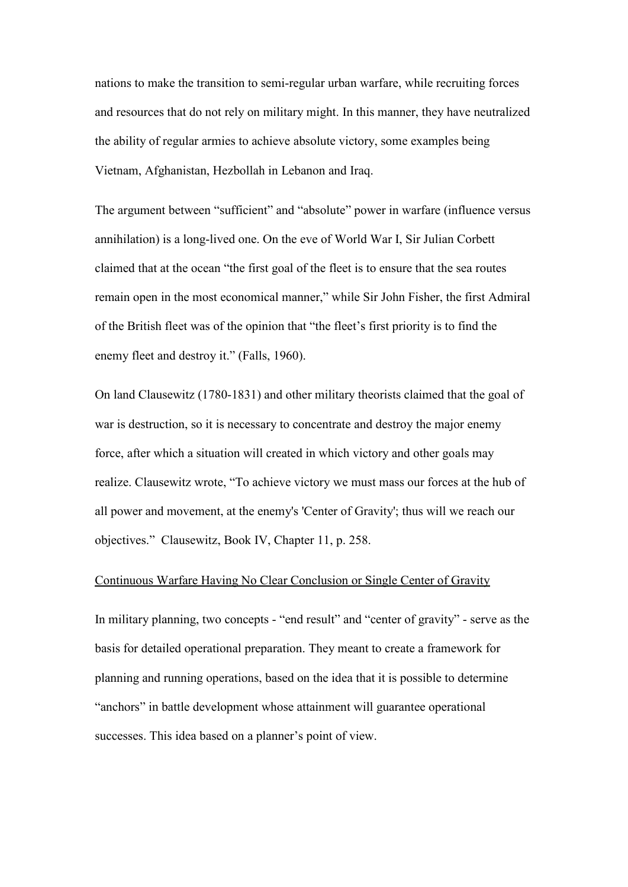nations to make the transition to semi-regular urban warfare, while recruiting forces and resources that do not rely on military might. In this manner, they have neutralized the ability of regular armies to achieve absolute victory, some examples being Vietnam, Afghanistan, Hezbollah in Lebanon and Iraq.

The argument between "sufficient" and "absolute" power in warfare (influence versus annihilation) is a long-lived one. On the eve of World War I, Sir Julian Corbett claimed that at the ocean "the first goal of the fleet is to ensure that the sea routes remain open in the most economical manner," while Sir John Fisher, the first Admiral of the British fleet was of the opinion that "the fleet's first priority is to find the enemy fleet and destroy it." (Falls, 1960).

On land Clausewitz (1780-1831) and other military theorists claimed that the goal of war is destruction, so it is necessary to concentrate and destroy the major enemy force, after which a situation will created in which victory and other goals may realize. Clausewitz wrote, "To achieve victory we must mass our forces at the hub of all power and movement, at the enemy's 'Center of Gravity'; thus will we reach our objectives." Clausewitz, Book IV, Chapter 11, p. 258.

### Continuous Warfare Having No Clear Conclusion or Single Center of Gravity

In military planning, two concepts - "end result" and "center of gravity" - serve as the basis for detailed operational preparation. They meant to create a framework for planning and running operations, based on the idea that it is possible to determine "anchors" in battle development whose attainment will guarantee operational successes. This idea based on a planner's point of view.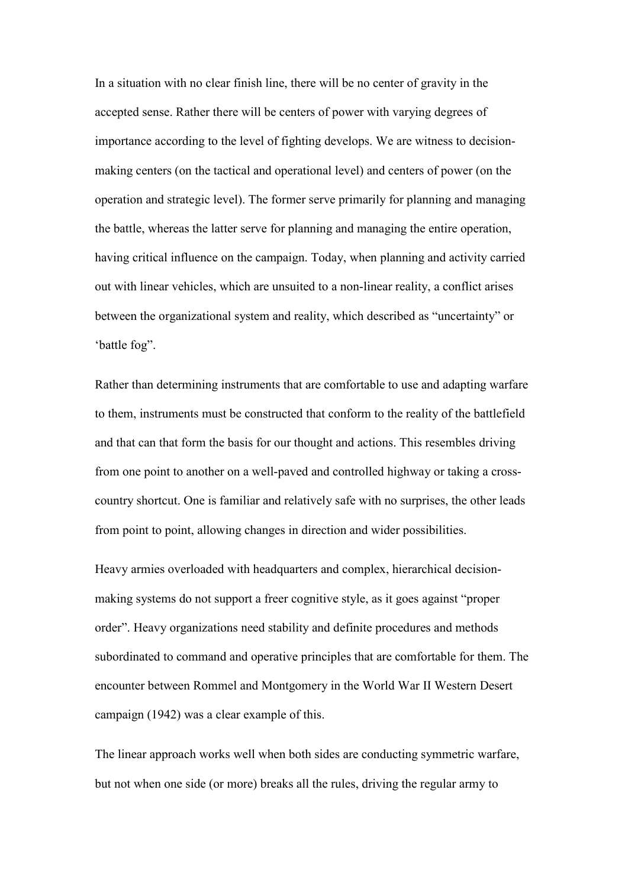In a situation with no clear finish line, there will be no center of gravity in the accepted sense. Rather there will be centers of power with varying degrees of importance according to the level of fighting develops. We are witness to decisionmaking centers (on the tactical and operational level) and centers of power (on the operation and strategic level). The former serve primarily for planning and managing the battle, whereas the latter serve for planning and managing the entire operation, having critical influence on the campaign. Today, when planning and activity carried out with linear vehicles, which are unsuited to a non-linear reality, a conflict arises between the organizational system and reality, which described as "uncertainty" or 'battle fog".

Rather than determining instruments that are comfortable to use and adapting warfare to them, instruments must be constructed that conform to the reality of the battlefield and that can that form the basis for our thought and actions. This resembles driving from one point to another on a well-paved and controlled highway or taking a crosscountry shortcut. One is familiar and relatively safe with no surprises, the other leads from point to point, allowing changes in direction and wider possibilities.

Heavy armies overloaded with headquarters and complex, hierarchical decisionmaking systems do not support a freer cognitive style, as it goes against "proper order". Heavy organizations need stability and definite procedures and methods subordinated to command and operative principles that are comfortable for them. The encounter between Rommel and Montgomery in the World War II Western Desert campaign (1942) was a clear example of this.

The linear approach works well when both sides are conducting symmetric warfare, but not when one side (or more) breaks all the rules, driving the regular army to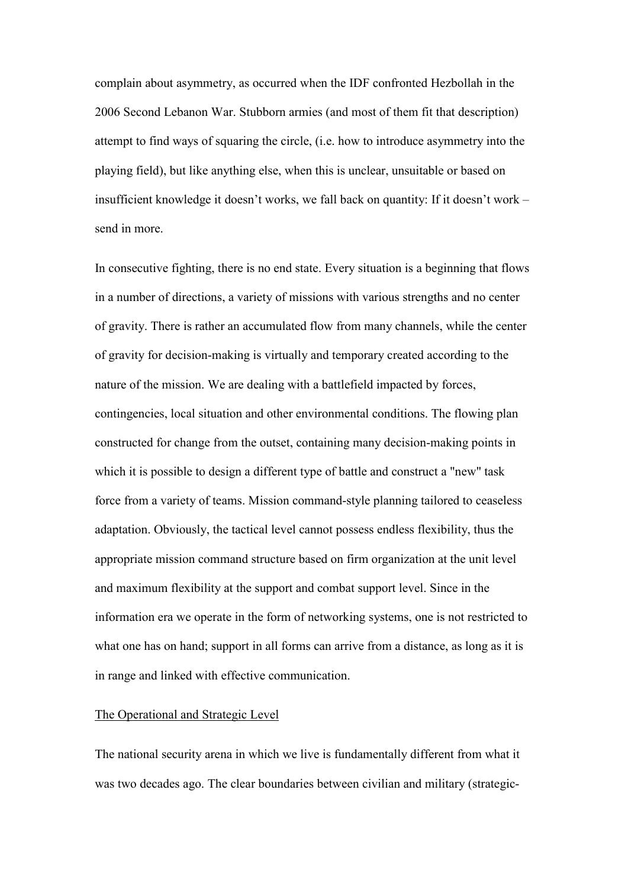complain about asymmetry, as occurred when the IDF confronted Hezbollah in the 2006 Second Lebanon War. Stubborn armies (and most of them fit that description) attempt to find ways of squaring the circle, (i.e. how to introduce asymmetry into the playing field), but like anything else, when this is unclear, unsuitable or based on insufficient knowledge it doesn't works, we fall back on quantity: If it doesn't work – send in more.

In consecutive fighting, there is no end state. Every situation is a beginning that flows in a number of directions, a variety of missions with various strengths and no center of gravity. There is rather an accumulated flow from many channels, while the center of gravity for decision-making is virtually and temporary created according to the nature of the mission. We are dealing with a battlefield impacted by forces, contingencies, local situation and other environmental conditions. The flowing plan constructed for change from the outset, containing many decision-making points in which it is possible to design a different type of battle and construct a "new" task force from a variety of teams. Mission command-style planning tailored to ceaseless adaptation. Obviously, the tactical level cannot possess endless flexibility, thus the appropriate mission command structure based on firm organization at the unit level and maximum flexibility at the support and combat support level. Since in the information era we operate in the form of networking systems, one is not restricted to what one has on hand; support in all forms can arrive from a distance, as long as it is in range and linked with effective communication.

### The Operational and Strategic Level

The national security arena in which we live is fundamentally different from what it was two decades ago. The clear boundaries between civilian and military (strategic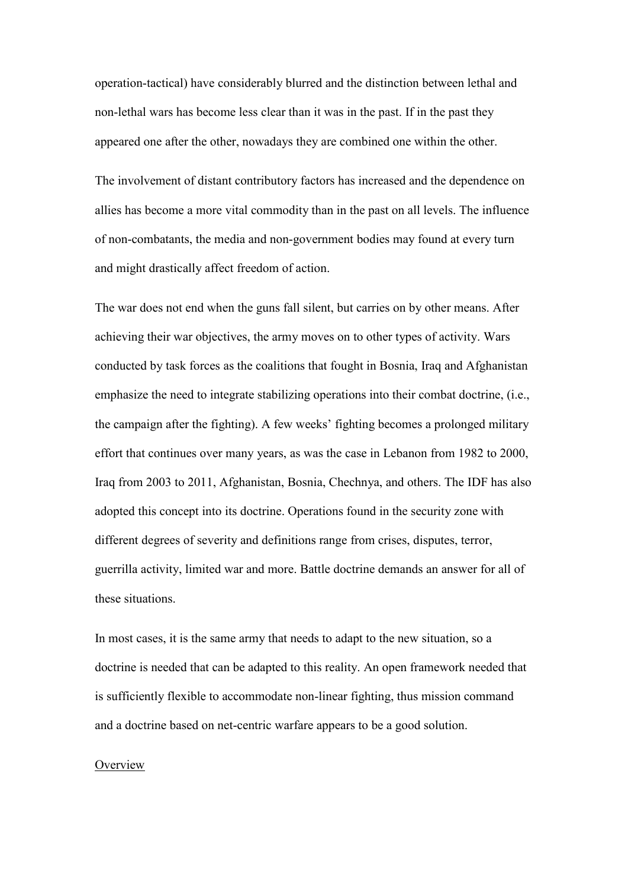operation-tactical) have considerably blurred and the distinction between lethal and non-lethal wars has become less clear than it was in the past. If in the past they appeared one after the other, nowadays they are combined one within the other.

The involvement of distant contributory factors has increased and the dependence on allies has become a more vital commodity than in the past on all levels. The influence of non-combatants, the media and non-government bodies may found at every turn and might drastically affect freedom of action.

The war does not end when the guns fall silent, but carries on by other means. After achieving their war objectives, the army moves on to other types of activity. Wars conducted by task forces as the coalitions that fought in Bosnia, Iraq and Afghanistan emphasize the need to integrate stabilizing operations into their combat doctrine, (i.e., the campaign after the fighting). A few weeks' fighting becomes a prolonged military effort that continues over many years, as was the case in Lebanon from 1982 to 2000, Iraq from 2003 to 2011, Afghanistan, Bosnia, Chechnya, and others. The IDF has also adopted this concept into its doctrine. Operations found in the security zone with different degrees of severity and definitions range from crises, disputes, terror, guerrilla activity, limited war and more. Battle doctrine demands an answer for all of these situations.

In most cases, it is the same army that needs to adapt to the new situation, so a doctrine is needed that can be adapted to this reality. An open framework needed that is sufficiently flexible to accommodate non-linear fighting, thus mission command and a doctrine based on net-centric warfare appears to be a good solution.

## **Overview**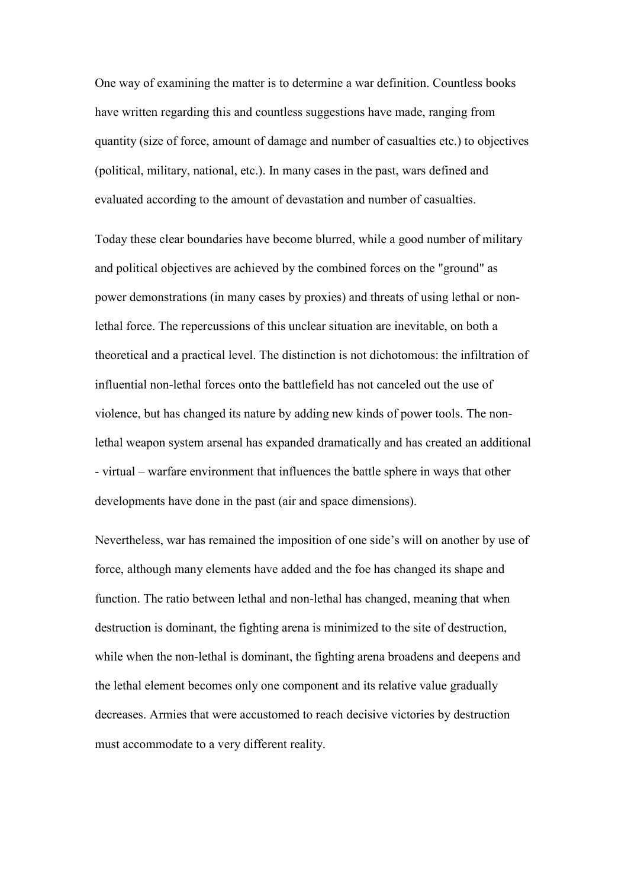One way of examining the matter is to determine a war definition. Countless books have written regarding this and countless suggestions have made, ranging from quantity (size of force, amount of damage and number of casualties etc.) to objectives (political, military, national, etc.). In many cases in the past, wars defined and evaluated according to the amount of devastation and number of casualties.

Today these clear boundaries have become blurred, while a good number of military and political objectives are achieved by the combined forces on the "ground" as power demonstrations (in many cases by proxies) and threats of using lethal or nonlethal force. The repercussions of this unclear situation are inevitable, on both a theoretical and a practical level. The distinction is not dichotomous: the infiltration of influential non-lethal forces onto the battlefield has not canceled out the use of violence, but has changed its nature by adding new kinds of power tools. The nonlethal weapon system arsenal has expanded dramatically and has created an additional - virtual – warfare environment that influences the battle sphere in ways that other developments have done in the past (air and space dimensions).

Nevertheless, war has remained the imposition of one side's will on another by use of force, although many elements have added and the foe has changed its shape and function. The ratio between lethal and non-lethal has changed, meaning that when destruction is dominant, the fighting arena is minimized to the site of destruction, while when the non-lethal is dominant, the fighting arena broadens and deepens and the lethal element becomes only one component and its relative value gradually decreases. Armies that were accustomed to reach decisive victories by destruction must accommodate to a very different reality.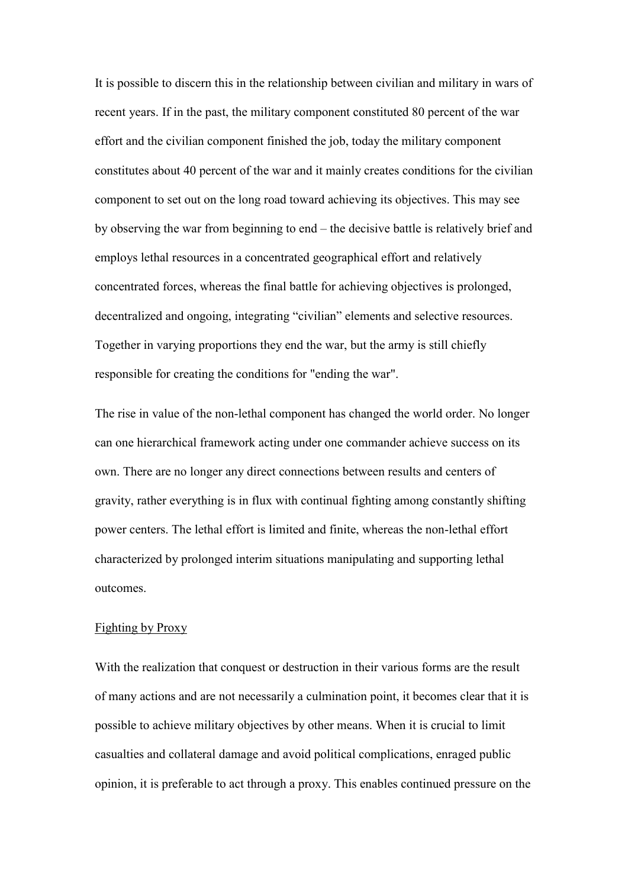It is possible to discern this in the relationship between civilian and military in wars of recent years. If in the past, the military component constituted 80 percent of the war effort and the civilian component finished the job, today the military component constitutes about 40 percent of the war and it mainly creates conditions for the civilian component to set out on the long road toward achieving its objectives. This may see by observing the war from beginning to end – the decisive battle is relatively brief and employs lethal resources in a concentrated geographical effort and relatively concentrated forces, whereas the final battle for achieving objectives is prolonged, decentralized and ongoing, integrating "civilian" elements and selective resources. Together in varying proportions they end the war, but the army is still chiefly responsible for creating the conditions for "ending the war".

The rise in value of the non-lethal component has changed the world order. No longer can one hierarchical framework acting under one commander achieve success on its own. There are no longer any direct connections between results and centers of gravity, rather everything is in flux with continual fighting among constantly shifting power centers. The lethal effort is limited and finite, whereas the non-lethal effort characterized by prolonged interim situations manipulating and supporting lethal outcomes.

#### Fighting by Proxy

With the realization that conquest or destruction in their various forms are the result of many actions and are not necessarily a culmination point, it becomes clear that it is possible to achieve military objectives by other means. When it is crucial to limit casualties and collateral damage and avoid political complications, enraged public opinion, it is preferable to act through a proxy. This enables continued pressure on the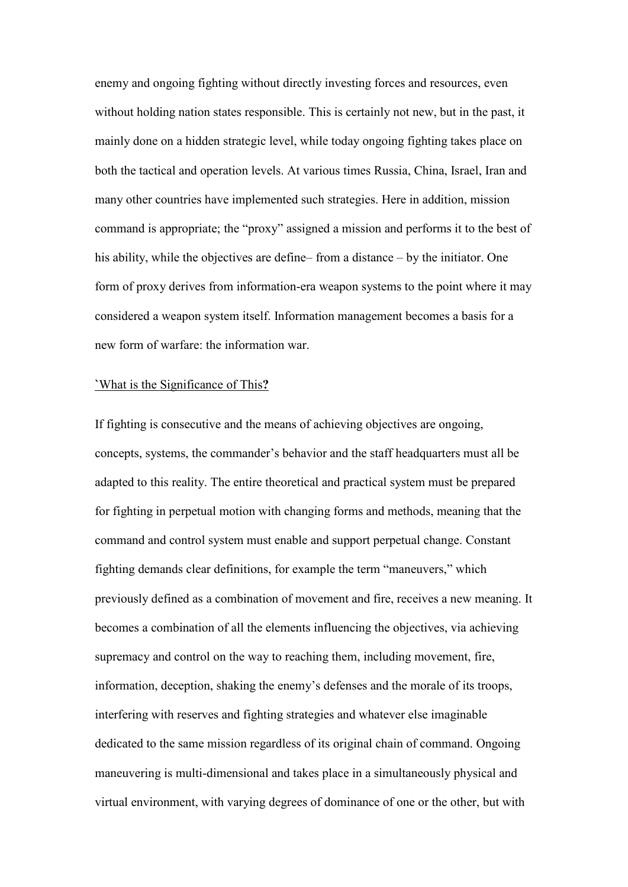enemy and ongoing fighting without directly investing forces and resources, even without holding nation states responsible. This is certainly not new, but in the past, it mainly done on a hidden strategic level, while today ongoing fighting takes place on both the tactical and operation levels. At various times Russia, China, Israel, Iran and many other countries have implemented such strategies. Here in addition, mission command is appropriate; the "proxy" assigned a mission and performs it to the best of his ability, while the objectives are define– from a distance – by the initiator. One form of proxy derives from information-era weapon systems to the point where it may considered a weapon system itself. Information management becomes a basis for a new form of warfare: the information war.

#### **`**What is the Significance of This**?**

If fighting is consecutive and the means of achieving objectives are ongoing, concepts, systems, the commander's behavior and the staff headquarters must all be adapted to this reality. The entire theoretical and practical system must be prepared for fighting in perpetual motion with changing forms and methods, meaning that the command and control system must enable and support perpetual change. Constant fighting demands clear definitions, for example the term "maneuvers," which previously defined as a combination of movement and fire, receives a new meaning. It becomes a combination of all the elements influencing the objectives, via achieving supremacy and control on the way to reaching them, including movement, fire, information, deception, shaking the enemy's defenses and the morale of its troops, interfering with reserves and fighting strategies and whatever else imaginable dedicated to the same mission regardless of its original chain of command. Ongoing maneuvering is multi-dimensional and takes place in a simultaneously physical and virtual environment, with varying degrees of dominance of one or the other, but with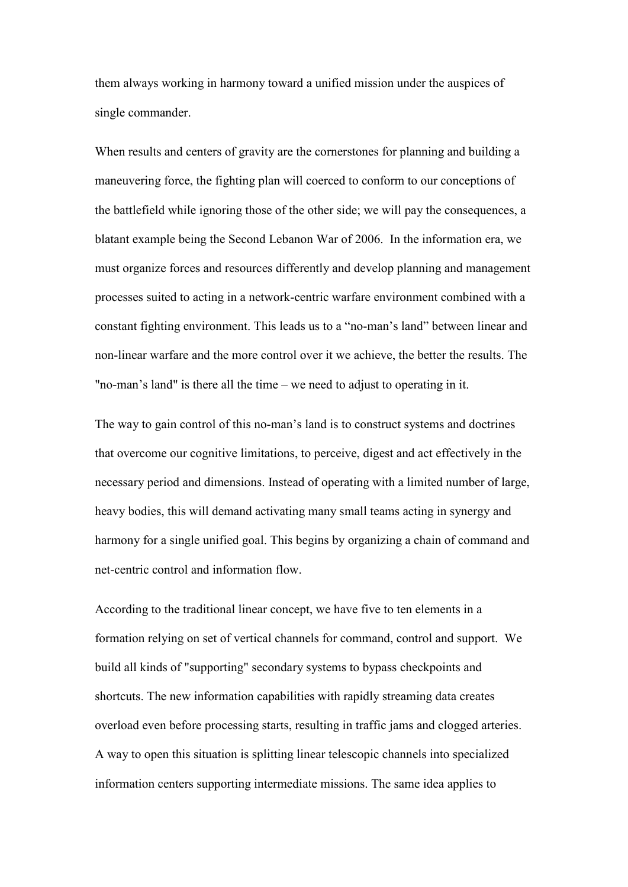them always working in harmony toward a unified mission under the auspices of single commander.

When results and centers of gravity are the cornerstones for planning and building a maneuvering force, the fighting plan will coerced to conform to our conceptions of the battlefield while ignoring those of the other side; we will pay the consequences, a blatant example being the Second Lebanon War of 2006. In the information era, we must organize forces and resources differently and develop planning and management processes suited to acting in a network-centric warfare environment combined with a constant fighting environment. This leads us to a "no-man's land" between linear and non-linear warfare and the more control over it we achieve, the better the results. The "no-man's land" is there all the time – we need to adjust to operating in it.

The way to gain control of this no-man's land is to construct systems and doctrines that overcome our cognitive limitations, to perceive, digest and act effectively in the necessary period and dimensions. Instead of operating with a limited number of large, heavy bodies, this will demand activating many small teams acting in synergy and harmony for a single unified goal. This begins by organizing a chain of command and net-centric control and information flow.

According to the traditional linear concept, we have five to ten elements in a formation relying on set of vertical channels for command, control and support. We build all kinds of "supporting" secondary systems to bypass checkpoints and shortcuts. The new information capabilities with rapidly streaming data creates overload even before processing starts, resulting in traffic jams and clogged arteries. A way to open this situation is splitting linear telescopic channels into specialized information centers supporting intermediate missions. The same idea applies to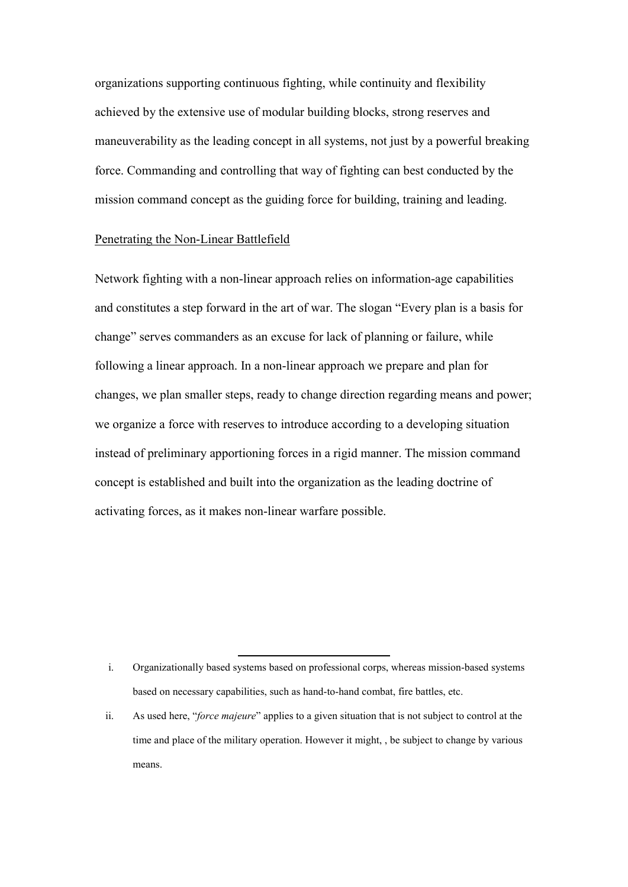organizations supporting continuous fighting, while continuity and flexibility achieved by the extensive use of modular building blocks, strong reserves and maneuverability as the leading concept in all systems, not just by a powerful breaking force. Commanding and controlling that way of fighting can best conducted by the mission command concept as the guiding force for building, training and leading.

## Penetrating the Non-Linear Battlefield

Network fighting with a non-linear approach relies on information-age capabilities and constitutes a step forward in the art of war. The slogan "Every plan is a basis for change" serves commanders as an excuse for lack of planning or failure, while following a linear approach. In a non-linear approach we prepare and plan for changes, we plan smaller steps, ready to change direction regarding means and power; we organize a force with reserves to introduce according to a developing situation instead of preliminary apportioning forces in a rigid manner. The mission command concept is established and built into the organization as the leading doctrine of activating forces, as it makes non-linear warfare possible.

 $\overline{a}$ 

i. Organizationally based systems based on professional corps, whereas mission-based systems based on necessary capabilities, such as hand-to-hand combat, fire battles, etc.

ii. As used here, "*force majeure*" applies to a given situation that is not subject to control at the time and place of the military operation. However it might, , be subject to change by various means.